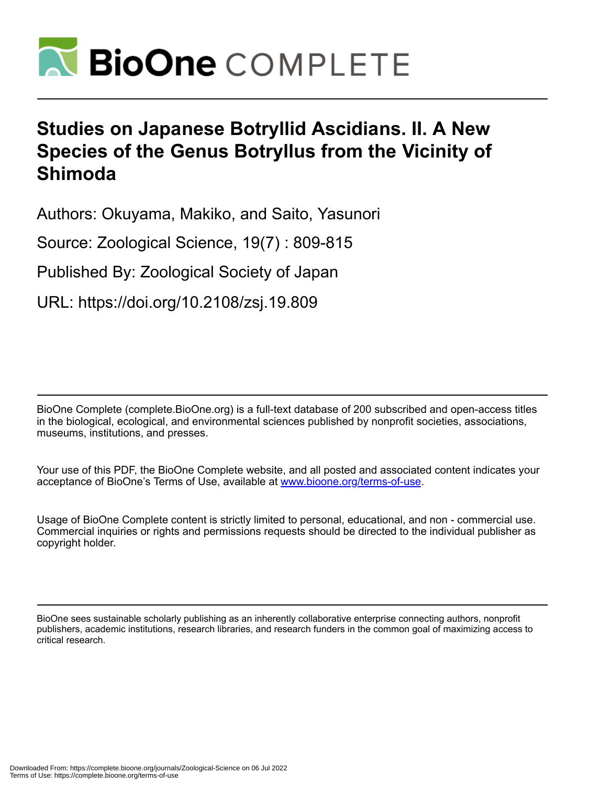

# **Studies on Japanese Botryllid Ascidians. II. A New Species of the Genus Botryllus from the Vicinity of Shimoda**

Authors: Okuyama, Makiko, and Saito, Yasunori

Source: Zoological Science, 19(7) : 809-815

Published By: Zoological Society of Japan

URL: https://doi.org/10.2108/zsj.19.809

BioOne Complete (complete.BioOne.org) is a full-text database of 200 subscribed and open-access titles in the biological, ecological, and environmental sciences published by nonprofit societies, associations, museums, institutions, and presses.

Your use of this PDF, the BioOne Complete website, and all posted and associated content indicates your acceptance of BioOne's Terms of Use, available at www.bioone.org/terms-of-use.

Usage of BioOne Complete content is strictly limited to personal, educational, and non - commercial use. Commercial inquiries or rights and permissions requests should be directed to the individual publisher as copyright holder.

BioOne sees sustainable scholarly publishing as an inherently collaborative enterprise connecting authors, nonprofit publishers, academic institutions, research libraries, and research funders in the common goal of maximizing access to critical research.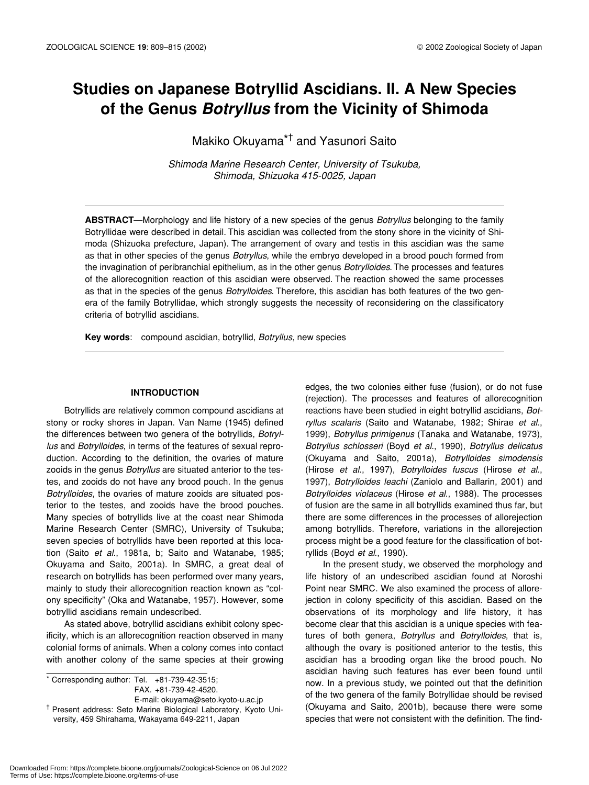# **Studies on Japanese Botryllid Ascidians. II. A New Species of the Genus** *Botryllus* **from the Vicinity of Shimoda**

Makiko Okuyama\*† and Yasunori Saito

*Shimoda Marine Research Center, University of Tsukuba, Shimoda, Shizuoka 415-0025, Japan*

**ABSTRACT**—Morphology and life history of a new species of the genus *Botryllus* belonging to the family Botryllidae were described in detail. This ascidian was collected from the stony shore in the vicinity of Shimoda (Shizuoka prefecture, Japan). The arrangement of ovary and testis in this ascidian was the same as that in other species of the genus *Botryllus*, while the embryo developed in a brood pouch formed from the invagination of peribranchial epithelium, as in the other genus *Botrylloides*. The processes and features of the allorecognition reaction of this ascidian were observed. The reaction showed the same processes as that in the species of the genus *Botrylloides*. Therefore, this ascidian has both features of the two genera of the family Botryllidae, which strongly suggests the necessity of reconsidering on the classificatory criteria of botryllid ascidians.

**Key words**: compound ascidian, botryllid, *Botryllus*, new species

### **INTRODUCTION**

Botryllids are relatively common compound ascidians at stony or rocky shores in Japan. Van Name (1945) defined the differences between two genera of the botryllids, *Botryllus* and *Botrylloides*, in terms of the features of sexual reproduction. According to the definition, the ovaries of mature zooids in the genus *Botryllus* are situated anterior to the testes, and zooids do not have any brood pouch. In the genus *Botrylloides*, the ovaries of mature zooids are situated posterior to the testes, and zooids have the brood pouches. Many species of botryllids live at the coast near Shimoda Marine Research Center (SMRC), University of Tsukuba; seven species of botryllids have been reported at this location (Saito *et al*., 1981a, b; Saito and Watanabe, 1985; Okuyama and Saito, 2001a). In SMRC, a great deal of research on botryllids has been performed over many years, mainly to study their allorecognition reaction known as "colony specificity" (Oka and Watanabe, 1957). However, some botryllid ascidians remain undescribed.

As stated above, botryllid ascidians exhibit colony specificity, which is an allorecognition reaction observed in many colonial forms of animals. When a colony comes into contact with another colony of the same species at their growing

 $\overline{\phantom{1}}$  Corresponding author: Tel.  $+81-739-42-3515$ ; FAX. +81-739-42-4520.

E-mail: okuyama@seto.kyoto-u.ac.jp

edges, the two colonies either fuse (fusion), or do not fuse (rejection). The processes and features of allorecognition reactions have been studied in eight botryllid ascidians, *Botryllus scalaris* (Saito and Watanabe, 1982; Shirae *et al*., 1999), *Botryllus primigenus* (Tanaka and Watanabe, 1973), *Botryllus schlosseri* (Boyd *et al*., 1990), *Botryllus delicatus* (Okuyama and Saito, 2001a), *Botrylloides simodensis* (Hirose *et al*., 1997), *Botrylloides fuscus* (Hirose *et al*., 1997), *Botrylloides leachi* (Zaniolo and Ballarin, 2001) and *Botrylloides violaceus* (Hirose *et al*., 1988). The processes of fusion are the same in all botryllids examined thus far, but there are some differences in the processes of allorejection among botryllids. Therefore, variations in the allorejection process might be a good feature for the classification of botryllids (Boyd *et al*., 1990).

In the present study, we observed the morphology and life history of an undescribed ascidian found at Noroshi Point near SMRC. We also examined the process of allorejection in colony specificity of this ascidian. Based on the observations of its morphology and life history, it has become clear that this ascidian is a unique species with features of both genera, *Botryllus* and *Botrylloides*, that is, although the ovary is positioned anterior to the testis, this ascidian has a brooding organ like the brood pouch. No ascidian having such features has ever been found until now. In a previous study, we pointed out that the definition of the two genera of the family Botryllidae should be revised (Okuyama and Saito, 2001b), because there were some species that were not consistent with the definition. The find-

<sup>†</sup> Present address: Seto Marine Biological Laboratory, Kyoto University, 459 Shirahama, Wakayama 649-2211, Japan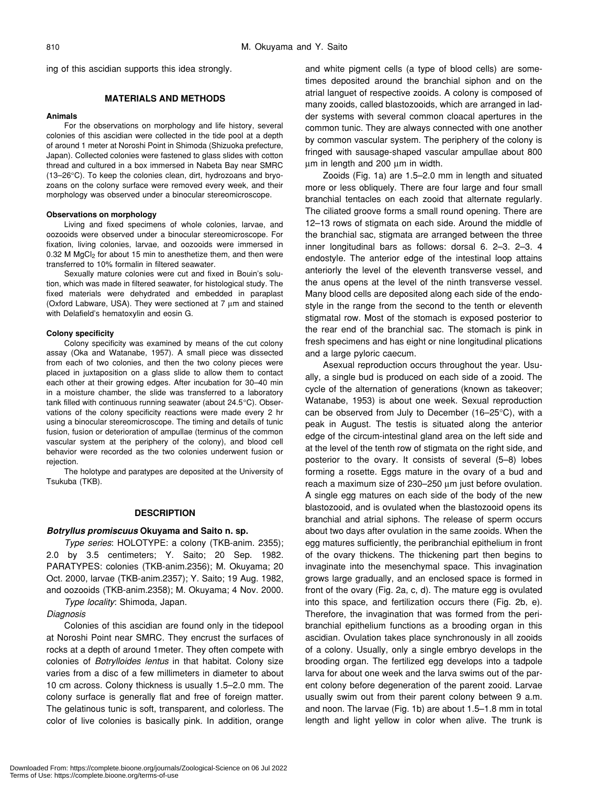ing of this ascidian supports this idea strongly.

#### **MATERIALS AND METHODS**

#### **Animals**

For the observations on morphology and life history, several colonies of this ascidian were collected in the tide pool at a depth of around 1 meter at Noroshi Point in Shimoda (Shizuoka prefecture, Japan). Collected colonies were fastened to glass slides with cotton thread and cultured in a box immersed in Nabeta Bay near SMRC (13–26°C). To keep the colonies clean, dirt, hydrozoans and bryozoans on the colony surface were removed every week, and their morphology was observed under a binocular stereomicroscope.

#### **Observations on morphology**

Living and fixed specimens of whole colonies, larvae, and oozooids were observed under a binocular stereomicroscope. For fixation, living colonies, larvae, and oozooids were immersed in  $0.32$  M MgCl<sub>2</sub> for about 15 min to anesthetize them, and then were transferred to 10% formalin in filtered seawater.

Sexually mature colonies were cut and fixed in Bouin's solution, which was made in filtered seawater, for histological study. The fixed materials were dehydrated and embedded in paraplast (Oxford Labware, USA). They were sectioned at 7 µm and stained with Delafield's hematoxylin and eosin G.

#### **Colony specificity**

Colony specificity was examined by means of the cut colony assay (Oka and Watanabe, 1957). A small piece was dissected from each of two colonies, and then the two colony pieces were placed in juxtaposition on a glass slide to allow them to contact each other at their growing edges. After incubation for 30–40 min in a moisture chamber, the slide was transferred to a laboratory tank filled with continuous running seawater (about 24.5°C). Observations of the colony specificity reactions were made every 2 hr using a binocular stereomicroscope. The timing and details of tunic fusion, fusion or deterioration of ampullae (terminus of the common vascular system at the periphery of the colony), and blood cell behavior were recorded as the two colonies underwent fusion or rejection.

The holotype and paratypes are deposited at the University of Tsukuba (TKB).

#### **DESCRIPTION**

#### *Botryllus promiscuus* **Okuyama and Saito n. sp.**

*Type series*: HOLOTYPE: a colony (TKB-anim. 2355); 2.0 by 3.5 centimeters; Y. Saito; 20 Sep. 1982. PARATYPES: colonies (TKB-anim.2356); M. Okuyama; 20 Oct. 2000, larvae (TKB-anim.2357); Y. Saito; 19 Aug. 1982, and oozooids (TKB-anim.2358); M. Okuyama; 4 Nov. 2000.

*Type locality*: Shimoda, Japan.

#### *Diagnosis*

Colonies of this ascidian are found only in the tidepool at Noroshi Point near SMRC. They encrust the surfaces of rocks at a depth of around 1meter. They often compete with colonies of *Botrylloides lentus* in that habitat. Colony size varies from a disc of a few millimeters in diameter to about 10 cm across. Colony thickness is usually 1.5–2.0 mm. The colony surface is generally flat and free of foreign matter. The gelatinous tunic is soft, transparent, and colorless. The color of live colonies is basically pink. In addition, orange and white pigment cells (a type of blood cells) are sometimes deposited around the branchial siphon and on the atrial languet of respective zooids. A colony is composed of many zooids, called blastozooids, which are arranged in ladder systems with several common cloacal apertures in the common tunic. They are always connected with one another by common vascular system. The periphery of the colony is fringed with sausage-shaped vascular ampullae about 800 µm in length and 200 µm in width.

Zooids (Fig. 1a) are 1.5–2.0 mm in length and situated more or less obliquely. There are four large and four small branchial tentacles on each zooid that alternate regularly. The ciliated groove forms a small round opening. There are 12–13 rows of stigmata on each side. Around the middle of the branchial sac, stigmata are arranged between the three inner longitudinal bars as follows: dorsal 6. 2–3. 2–3. 4 endostyle. The anterior edge of the intestinal loop attains anteriorly the level of the eleventh transverse vessel, and the anus opens at the level of the ninth transverse vessel. Many blood cells are deposited along each side of the endostyle in the range from the second to the tenth or eleventh stigmatal row. Most of the stomach is exposed posterior to the rear end of the branchial sac. The stomach is pink in fresh specimens and has eight or nine longitudinal plications and a large pyloric caecum.

Asexual reproduction occurs throughout the year. Usually, a single bud is produced on each side of a zooid. The cycle of the alternation of generations (known as takeover; Watanabe, 1953) is about one week. Sexual reproduction can be observed from July to December (16–25°C), with a peak in August. The testis is situated along the anterior edge of the circum-intestinal gland area on the left side and at the level of the tenth row of stigmata on the right side, and posterior to the ovary. It consists of several (5–8) lobes forming a rosette. Eggs mature in the ovary of a bud and reach a maximum size of 230–250 um just before ovulation. A single egg matures on each side of the body of the new blastozooid, and is ovulated when the blastozooid opens its branchial and atrial siphons. The release of sperm occurs about two days after ovulation in the same zooids. When the egg matures sufficiently, the peribranchial epithelium in front of the ovary thickens. The thickening part then begins to invaginate into the mesenchymal space. This invagination grows large gradually, and an enclosed space is formed in front of the ovary (Fig. 2a, c, d). The mature egg is ovulated into this space, and fertilization occurs there (Fig. 2b, e). Therefore, the invagination that was formed from the peribranchial epithelium functions as a brooding organ in this ascidian. Ovulation takes place synchronously in all zooids of a colony. Usually, only a single embryo develops in the brooding organ. The fertilized egg develops into a tadpole larva for about one week and the larva swims out of the parent colony before degeneration of the parent zooid. Larvae usually swim out from their parent colony between 9 a.m. and noon. The larvae (Fig. 1b) are about 1.5–1.8 mm in total length and light yellow in color when alive. The trunk is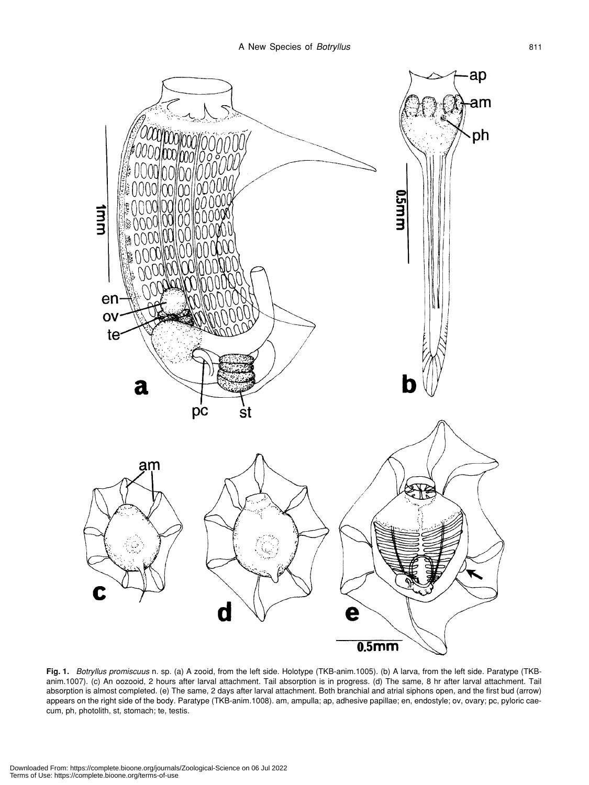

**Fig. 1.** *Botryllus promiscuus* n. sp. (a) A zooid, from the left side. Holotype (TKB-anim.1005). (b) A larva, from the left side. Paratype (TKBanim.1007). (c) An oozooid, 2 hours after larval attachment. Tail absorption is in progress. (d) The same, 8 hr after larval attachment. Tail absorption is almost completed. (e) The same, 2 days after larval attachment. Both branchial and atrial siphons open, and the first bud (arrow) appears on the right side of the body. Paratype (TKB-anim.1008). am, ampulla; ap, adhesive papillae; en, endostyle; ov, ovary; pc, pyloric caecum, ph, photolith, st, stomach; te, testis.

Downloaded From: https://complete.bioone.org/journals/Zoological-Science on 06 Jul 2022 Terms of Use: https://complete.bioone.org/terms-of-use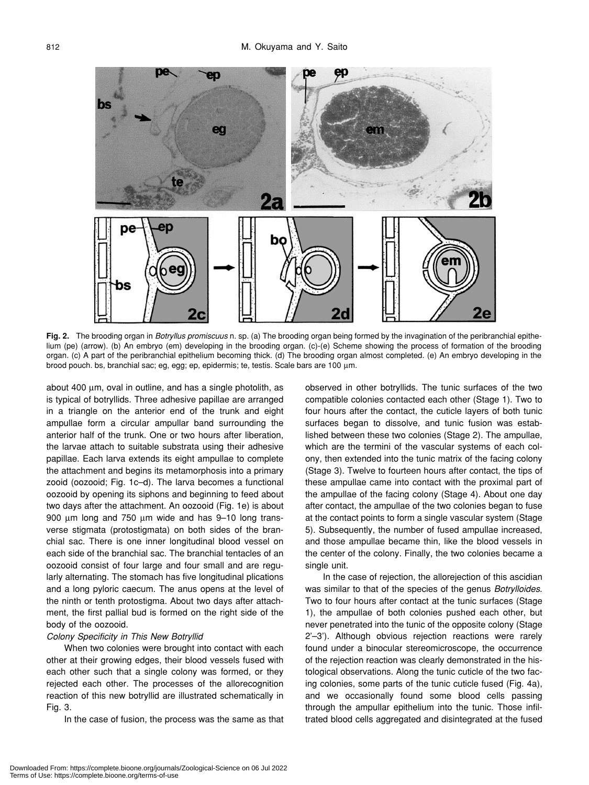

**Fig. 2.** The brooding organ in *Botryllus promiscuus* n. sp. (a) The brooding organ being formed by the invagination of the peribranchial epithelium (pe) (arrow). (b) An embryo (em) developing in the brooding organ. (c)-(e) Scheme showing the process of formation of the brooding organ. (c) A part of the peribranchial epithelium becoming thick. (d) The brooding organ almost completed. (e) An embryo developing in the brood pouch. bs, branchial sac; eg, egg; ep, epidermis; te, testis. Scale bars are 100 µm.

about 400 µm, oval in outline, and has a single photolith, as is typical of botryllids. Three adhesive papillae are arranged in a triangle on the anterior end of the trunk and eight ampullae form a circular ampullar band surrounding the anterior half of the trunk. One or two hours after liberation, the larvae attach to suitable substrata using their adhesive papillae. Each larva extends its eight ampullae to complete the attachment and begins its metamorphosis into a primary zooid (oozooid; Fig. 1c–d). The larva becomes a functional oozooid by opening its siphons and beginning to feed about two days after the attachment. An oozooid (Fig. 1e) is about 900 µm long and 750 µm wide and has 9–10 long transverse stigmata (protostigmata) on both sides of the branchial sac. There is one inner longitudinal blood vessel on each side of the branchial sac. The branchial tentacles of an oozooid consist of four large and four small and are regularly alternating. The stomach has five longitudinal plications and a long pyloric caecum. The anus opens at the level of the ninth or tenth protostigma. About two days after attachment, the first pallial bud is formed on the right side of the body of the oozooid.

#### *Colony Specificity in This New Botryllid*

When two colonies were brought into contact with each other at their growing edges, their blood vessels fused with each other such that a single colony was formed, or they rejected each other. The processes of the allorecognition reaction of this new botryllid are illustrated schematically in Fig. 3.

In the case of fusion, the process was the same as that

observed in other botryllids. The tunic surfaces of the two compatible colonies contacted each other (Stage 1). Two to four hours after the contact, the cuticle layers of both tunic surfaces began to dissolve, and tunic fusion was established between these two colonies (Stage 2). The ampullae, which are the termini of the vascular systems of each colony, then extended into the tunic matrix of the facing colony (Stage 3). Twelve to fourteen hours after contact, the tips of these ampullae came into contact with the proximal part of the ampullae of the facing colony (Stage 4). About one day after contact, the ampullae of the two colonies began to fuse at the contact points to form a single vascular system (Stage 5). Subsequently, the number of fused ampullae increased, and those ampullae became thin, like the blood vessels in the center of the colony. Finally, the two colonies became a single unit.

In the case of rejection, the allorejection of this ascidian was similar to that of the species of the genus *Botrylloides*. Two to four hours after contact at the tunic surfaces (Stage 1), the ampullae of both colonies pushed each other, but never penetrated into the tunic of the opposite colony (Stage 2'–3'). Although obvious rejection reactions were rarely found under a binocular stereomicroscope, the occurrence of the rejection reaction was clearly demonstrated in the histological observations. Along the tunic cuticle of the two facing colonies, some parts of the tunic cuticle fused (Fig. 4a), and we occasionally found some blood cells passing through the ampullar epithelium into the tunic. Those infiltrated blood cells aggregated and disintegrated at the fused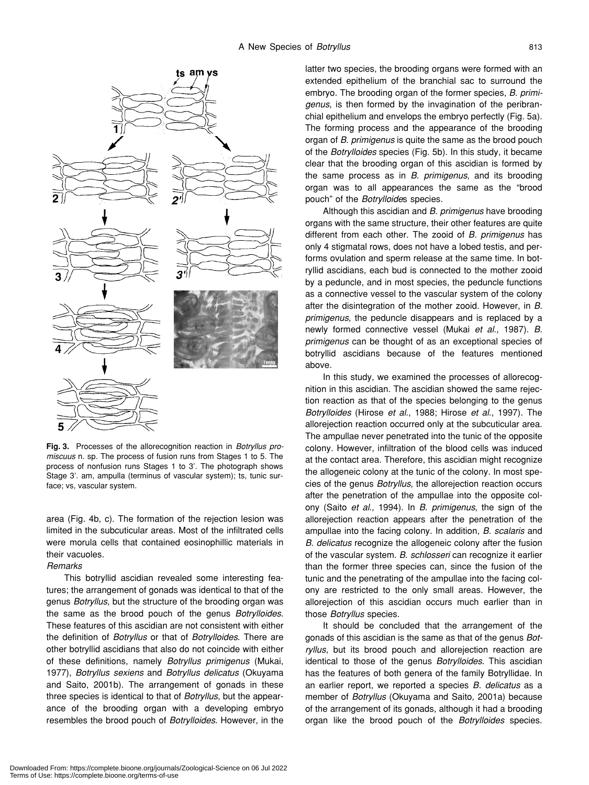

**Fig. 3.** Processes of the allorecognition reaction in *Botryllus promiscuus* n. sp. The process of fusion runs from Stages 1 to 5. The process of nonfusion runs Stages 1 to 3'. The photograph shows Stage 3'. am, ampulla (terminus of vascular system); ts, tunic surface; vs, vascular system.

area (Fig. 4b, c). The formation of the rejection lesion was limited in the subcuticular areas. Most of the infiltrated cells were morula cells that contained eosinophillic materials in their vacuoles.

## *Remarks*

This botryllid ascidian revealed some interesting features; the arrangement of gonads was identical to that of the genus *Botryllus*, but the structure of the brooding organ was the same as the brood pouch of the genus *Botrylloides*. These features of this ascidian are not consistent with either the definition of *Botryllus* or that of *Botrylloides*. There are other botryllid ascidians that also do not coincide with either of these definitions, namely *Botryllus primigenus* (Mukai, 1977), *Botryllus sexiens* and *Botryllus delicatus* (Okuyama and Saito, 2001b). The arrangement of gonads in these three species is identical to that of *Botryllus*, but the appearance of the brooding organ with a developing embryo resembles the brood pouch of *Botrylloides*. However, in the latter two species, the brooding organs were formed with an extended epithelium of the branchial sac to surround the embryo. The brooding organ of the former species, *B. primigenus*, is then formed by the invagination of the peribranchial epithelium and envelops the embryo perfectly (Fig. 5a). The forming process and the appearance of the brooding organ of *B. primigenus* is quite the same as the brood pouch of the *Botrylloides* species (Fig. 5b). In this study, it became clear that the brooding organ of this ascidian is formed by the same process as in *B. primigenus*, and its brooding organ was to all appearances the same as the "brood pouch" of the *Botrylloide*s species.

Although this ascidian and *B. primigenus* have brooding organs with the same structure, their other features are quite different from each other. The zooid of *B. primigenus* has only 4 stigmatal rows, does not have a lobed testis, and performs ovulation and sperm release at the same time. In botryllid ascidians, each bud is connected to the mother zooid by a peduncle, and in most species, the peduncle functions as a connective vessel to the vascular system of the colony after the disintegration of the mother zooid. However, in *B. primigenus*, the peduncle disappears and is replaced by a newly formed connective vessel (Mukai *et al*., 1987). *B. primigenus* can be thought of as an exceptional species of botryllid ascidians because of the features mentioned above.

In this study, we examined the processes of allorecognition in this ascidian. The ascidian showed the same rejection reaction as that of the species belonging to the genus *Botrylloides* (Hirose *et al*., 1988; Hirose *et al*., 1997). The allorejection reaction occurred only at the subcuticular area. The ampullae never penetrated into the tunic of the opposite colony. However, infiltration of the blood cells was induced at the contact area. Therefore, this ascidian might recognize the allogeneic colony at the tunic of the colony. In most species of the genus *Botryllus*, the allorejection reaction occurs after the penetration of the ampullae into the opposite colony (Saito *et al*., 1994). In *B. primigenus*, the sign of the allorejection reaction appears after the penetration of the ampullae into the facing colony. In addition, *B. scalaris* and *B. delicatus* recognize the allogeneic colony after the fusion of the vascular system. *B. schlosseri* can recognize it earlier than the former three species can, since the fusion of the tunic and the penetrating of the ampullae into the facing colony are restricted to the only small areas. However, the allorejection of this ascidian occurs much earlier than in those *Botryllus* species.

It should be concluded that the arrangement of the gonads of this ascidian is the same as that of the genus *Botryllus*, but its brood pouch and allorejection reaction are identical to those of the genus *Botrylloides*. This ascidian has the features of both genera of the family Botryllidae. In an earlier report, we reported a species *B. delicatus* as a member of *Botryllus* (Okuyama and Saito, 2001a) because of the arrangement of its gonads, although it had a brooding organ like the brood pouch of the *Botrylloides* species.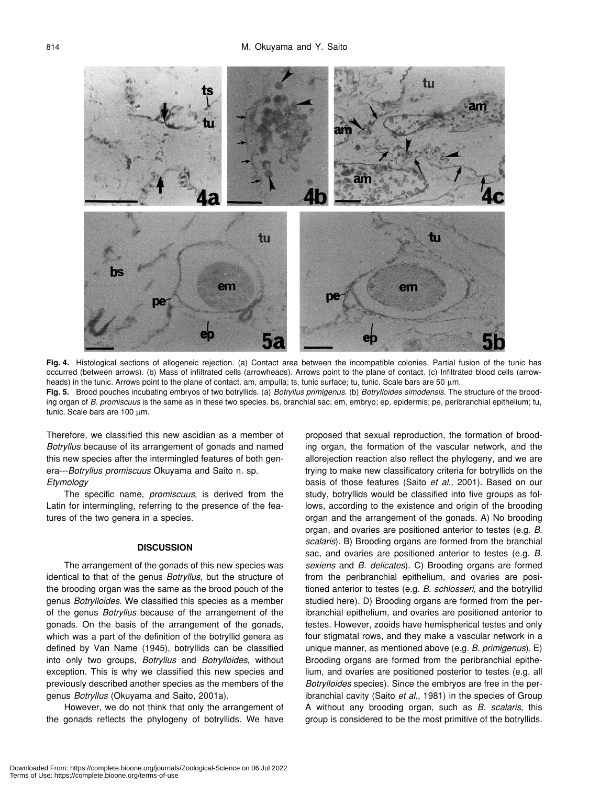

**Fig. 4.** Histological sections of allogeneic rejection. (a) Contact area between the incompatible colonies. Partial fusion of the tunic has occurred (between arrows). (b) Mass of infiltrated cells (arrowheads). Arrows point to the plane of contact. (c) Infiltrated blood cells (arrowheads) in the tunic. Arrows point to the plane of contact. am, ampulla; ts, tunic surface; tu, tunic. Scale bars are 50 µm. **Fig. 5.** Brood pouches incubating embryos of two botryllids. (a) *Botryllus primigenus*. (b) *Botrylloides simodensis*. The structure of the brooding organ of *B. promiscuus* is the same as in these two species. bs, branchial sac; em, embryo; ep, epidermis; pe, peribranchial epithelium; tu, tunic. Scale bars are 100 µm.

Therefore, we classified this new ascidian as a member of *Botryllus* because of its arrangement of gonads and named this new species after the intermingled features of both genera---*Botryllus promiscuus* Okuyama and Saito n. sp. *Etymology*

The specific name, *promiscuus*, is derived from the Latin for intermingling, referring to the presence of the features of the two genera in a species.

#### **DISCUSSION**

The arrangement of the gonads of this new species was identical to that of the genus *Botryllus*, but the structure of the brooding organ was the same as the brood pouch of the genus *Botrylloides*. We classified this species as a member of the genus *Botryllus* because of the arrangement of the gonads. On the basis of the arrangement of the gonads, which was a part of the definition of the botryllid genera as defined by Van Name (1945), botryllids can be classified into only two groups, *Botryllus* and *Botrylloides*, without exception. This is why we classified this new species and previously described another species as the members of the genus *Botryllus* (Okuyama and Saito, 2001a).

However, we do not think that only the arrangement of the gonads reflects the phylogeny of botryllids. We have

proposed that sexual reproduction, the formation of brooding organ, the formation of the vascular network, and the allorejection reaction also reflect the phylogeny, and we are trying to make new classificatory criteria for botryllids on the basis of those features (Saito *et al*., 2001). Based on our study, botryllids would be classified into five groups as follows, according to the existence and origin of the brooding organ and the arrangement of the gonads. A) No brooding organ, and ovaries are positioned anterior to testes (e.g. *B. scalaris*). B) Brooding organs are formed from the branchial sac, and ovaries are positioned anterior to testes (e.g. *B. sexiens* and *B. delicates*). C) Brooding organs are formed from the peribranchial epithelium, and ovaries are positioned anterior to testes (e.g. *B. schlosseri*, and the botryllid studied here). D) Brooding organs are formed from the peribranchial epithelium, and ovaries are positioned anterior to testes. However, zooids have hemispherical testes and only four stigmatal rows, and they make a vascular network in a unique manner, as mentioned above (e.g. *B. primigenus*). E) Brooding organs are formed from the peribranchial epithelium, and ovaries are positioned posterior to testes (e.g. all *Botrylloides* species). Since the embryos are free in the peribranchial cavity (Saito *et al*., 1981) in the species of Group A without any brooding organ, such as *B. scalaris*, this group is considered to be the most primitive of the botryllids.